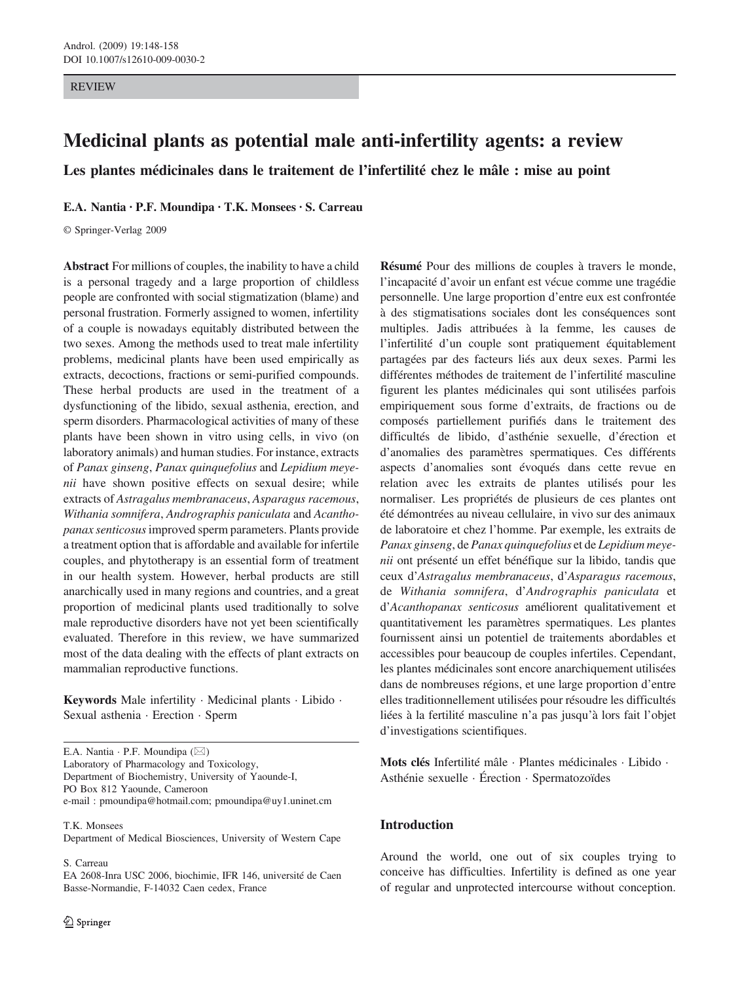## REVIEW

# Medicinal plants as potential male anti-infertility agents: a review

Les plantes médicinales dans le traitement de l'infertilité chez le mâle : mise au point

# E.A. Nantia · P.F. Moundipa · T.K. Monsees · S. Carreau

© Springer-Verlag 2009

Abstract For millions of couples, the inability to have a child is a personal tragedy and a large proportion of childless people are confronted with social stigmatization (blame) and personal frustration. Formerly assigned to women, infertility of a couple is nowadays equitably distributed between the two sexes. Among the methods used to treat male infertility problems, medicinal plants have been used empirically as extracts, decoctions, fractions or semi-purified compounds. These herbal products are used in the treatment of a dysfunctioning of the libido, sexual asthenia, erection, and sperm disorders. Pharmacological activities of many of these plants have been shown in vitro using cells, in vivo (on laboratory animals) and human studies. For instance, extracts of Panax ginseng, Panax quinquefolius and Lepidium meyenii have shown positive effects on sexual desire; while extracts of Astragalus membranaceus, Asparagus racemous, Withania somnifera, Andrographis paniculata and Acanthopanax senticosus improved sperm parameters. Plants provide a treatment option that is affordable and available for infertile couples, and phytotherapy is an essential form of treatment in our health system. However, herbal products are still anarchically used in many regions and countries, and a great proportion of medicinal plants used traditionally to solve male reproductive disorders have not yet been scientifically evaluated. Therefore in this review, we have summarized most of the data dealing with the effects of plant extracts on mammalian reproductive functions.

Keywords Male infertility · Medicinal plants · Libido · Sexual asthenia · Erection · Sperm

T.K. Monsees Department of Medical Biosciences, University of Western Cape

S. Carreau EA 2608-Inra USC 2006, biochimie, IFR 146, université de Caen Basse-Normandie, F-14032 Caen cedex, France

Résumé Pour des millions de couples à travers le monde, l'incapacité d'avoir un enfant est vécue comme une tragédie personnelle. Une large proportion d'entre eux est confrontée à des stigmatisations sociales dont les conséquences sont multiples. Jadis attribuées à la femme, les causes de l'infertilité d'un couple sont pratiquement équitablement partagées par des facteurs liés aux deux sexes. Parmi les différentes méthodes de traitement de l'infertilité masculine figurent les plantes médicinales qui sont utilisées parfois empiriquement sous forme d'extraits, de fractions ou de composés partiellement purifiés dans le traitement des difficultés de libido, d'asthénie sexuelle, d'érection et d'anomalies des paramètres spermatiques. Ces différents aspects d'anomalies sont évoqués dans cette revue en relation avec les extraits de plantes utilisés pour les normaliser. Les propriétés de plusieurs de ces plantes ont été démontrées au niveau cellulaire, in vivo sur des animaux de laboratoire et chez l'homme. Par exemple, les extraits de Panax ginseng, de Panax quinquefolius et de Lepidium meyenii ont présenté un effet bénéfique sur la libido, tandis que ceux d'Astragalus membranaceus, d'Asparagus racemous, de Withania somnifera, d'Andrographis paniculata et d'Acanthopanax senticosus améliorent qualitativement et quantitativement les paramètres spermatiques. Les plantes fournissent ainsi un potentiel de traitements abordables et accessibles pour beaucoup de couples infertiles. Cependant, les plantes médicinales sont encore anarchiquement utilisées dans de nombreuses régions, et une large proportion d'entre elles traditionnellement utilisées pour résoudre les difficultés liées à la fertilité masculine n'a pas jusqu'à lors fait l'objet d'investigations scientifiques.

Mots clés Infertilité mâle · Plantes médicinales · Libido · Asthénie sexuelle · Érection · Spermatozoïdes

## Introduction

Around the world, one out of six couples trying to conceive has difficulties. Infertility is defined as one year of regular and unprotected intercourse without conception.

E.A. Nantia · P.F. Moundipa  $(\boxtimes)$ Laboratory of Pharmacology and Toxicology, Department of Biochemistry, University of Yaounde-I, PO Box 812 Yaounde, Cameroon e-mail : pmoundipa@hotmail.com; pmoundipa@uy1.uninet.cm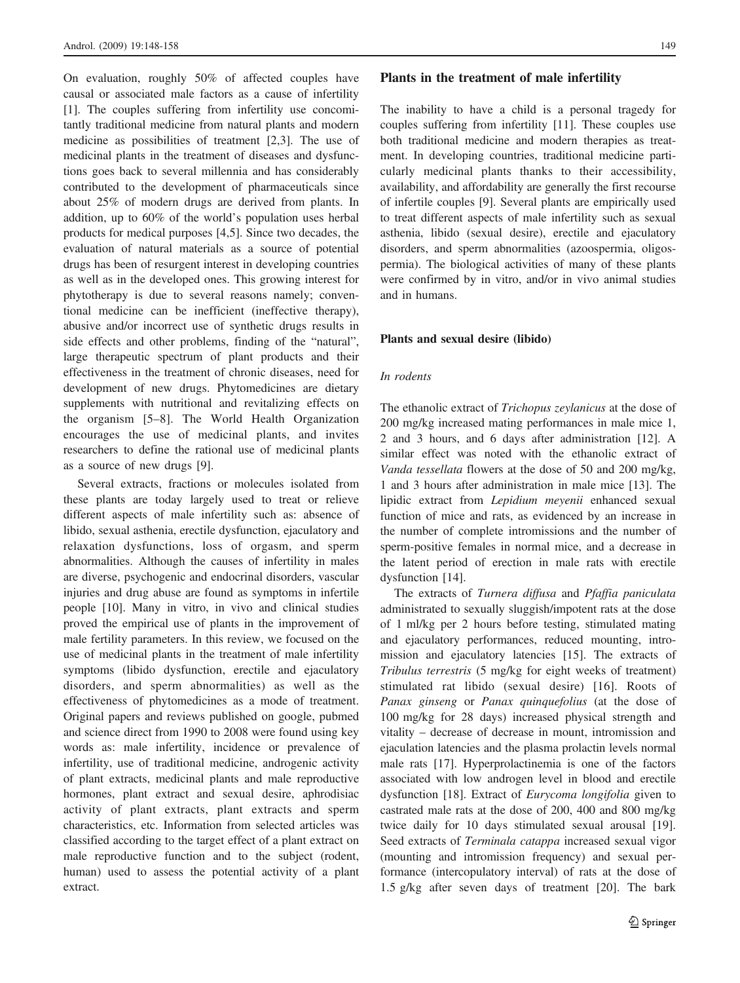On evaluation, roughly 50% of affected couples have causal or associated male factors as a cause of infertility [1]. The couples suffering from infertility use concomitantly traditional medicine from natural plants and modern medicine as possibilities of treatment [2,3]. The use of medicinal plants in the treatment of diseases and dysfunctions goes back to several millennia and has considerably contributed to the development of pharmaceuticals since about 25% of modern drugs are derived from plants. In addition, up to 60% of the world's population uses herbal products for medical purposes [4,5]. Since two decades, the evaluation of natural materials as a source of potential drugs has been of resurgent interest in developing countries as well as in the developed ones. This growing interest for phytotherapy is due to several reasons namely; conventional medicine can be inefficient (ineffective therapy), abusive and/or incorrect use of synthetic drugs results in side effects and other problems, finding of the "natural", large therapeutic spectrum of plant products and their effectiveness in the treatment of chronic diseases, need for development of new drugs. Phytomedicines are dietary supplements with nutritional and revitalizing effects on the organism [5–8]. The World Health Organization encourages the use of medicinal plants, and invites researchers to define the rational use of medicinal plants as a source of new drugs [9].

Several extracts, fractions or molecules isolated from these plants are today largely used to treat or relieve different aspects of male infertility such as: absence of libido, sexual asthenia, erectile dysfunction, ejaculatory and relaxation dysfunctions, loss of orgasm, and sperm abnormalities. Although the causes of infertility in males are diverse, psychogenic and endocrinal disorders, vascular injuries and drug abuse are found as symptoms in infertile people [10]. Many in vitro, in vivo and clinical studies proved the empirical use of plants in the improvement of male fertility parameters. In this review, we focused on the use of medicinal plants in the treatment of male infertility symptoms (libido dysfunction, erectile and ejaculatory disorders, and sperm abnormalities) as well as the effectiveness of phytomedicines as a mode of treatment. Original papers and reviews published on google, pubmed and science direct from 1990 to 2008 were found using key words as: male infertility, incidence or prevalence of infertility, use of traditional medicine, androgenic activity of plant extracts, medicinal plants and male reproductive hormones, plant extract and sexual desire, aphrodisiac activity of plant extracts, plant extracts and sperm characteristics, etc. Information from selected articles was classified according to the target effect of a plant extract on male reproductive function and to the subject (rodent, human) used to assess the potential activity of a plant extract.

## Plants in the treatment of male infertility

The inability to have a child is a personal tragedy for couples suffering from infertility [11]. These couples use both traditional medicine and modern therapies as treatment. In developing countries, traditional medicine particularly medicinal plants thanks to their accessibility, availability, and affordability are generally the first recourse of infertile couples [9]. Several plants are empirically used to treat different aspects of male infertility such as sexual asthenia, libido (sexual desire), erectile and ejaculatory disorders, and sperm abnormalities (azoospermia, oligospermia). The biological activities of many of these plants were confirmed by in vitro, and/or in vivo animal studies and in humans.

## Plants and sexual desire (libido)

## In rodents

The ethanolic extract of Trichopus zeylanicus at the dose of 200 mg/kg increased mating performances in male mice 1, 2 and 3 hours, and 6 days after administration [12]. A similar effect was noted with the ethanolic extract of Vanda tessellata flowers at the dose of 50 and 200 mg/kg, 1 and 3 hours after administration in male mice [13]. The lipidic extract from Lepidium meyenii enhanced sexual function of mice and rats, as evidenced by an increase in the number of complete intromissions and the number of sperm-positive females in normal mice, and a decrease in the latent period of erection in male rats with erectile dysfunction [14].

The extracts of Turnera diffusa and Pfaffia paniculata administrated to sexually sluggish/impotent rats at the dose of 1 ml/kg per 2 hours before testing, stimulated mating and ejaculatory performances, reduced mounting, intromission and ejaculatory latencies [15]. The extracts of Tribulus terrestris (5 mg/kg for eight weeks of treatment) stimulated rat libido (sexual desire) [16]. Roots of Panax ginseng or Panax quinquefolius (at the dose of 100 mg/kg for 28 days) increased physical strength and vitality – decrease of decrease in mount, intromission and ejaculation latencies and the plasma prolactin levels normal male rats [17]. Hyperprolactinemia is one of the factors associated with low androgen level in blood and erectile dysfunction [18]. Extract of Eurycoma longifolia given to castrated male rats at the dose of 200, 400 and 800 mg/kg twice daily for 10 days stimulated sexual arousal [19]. Seed extracts of Terminala catappa increased sexual vigor (mounting and intromission frequency) and sexual performance (intercopulatory interval) of rats at the dose of 1.5 g/kg after seven days of treatment [20]. The bark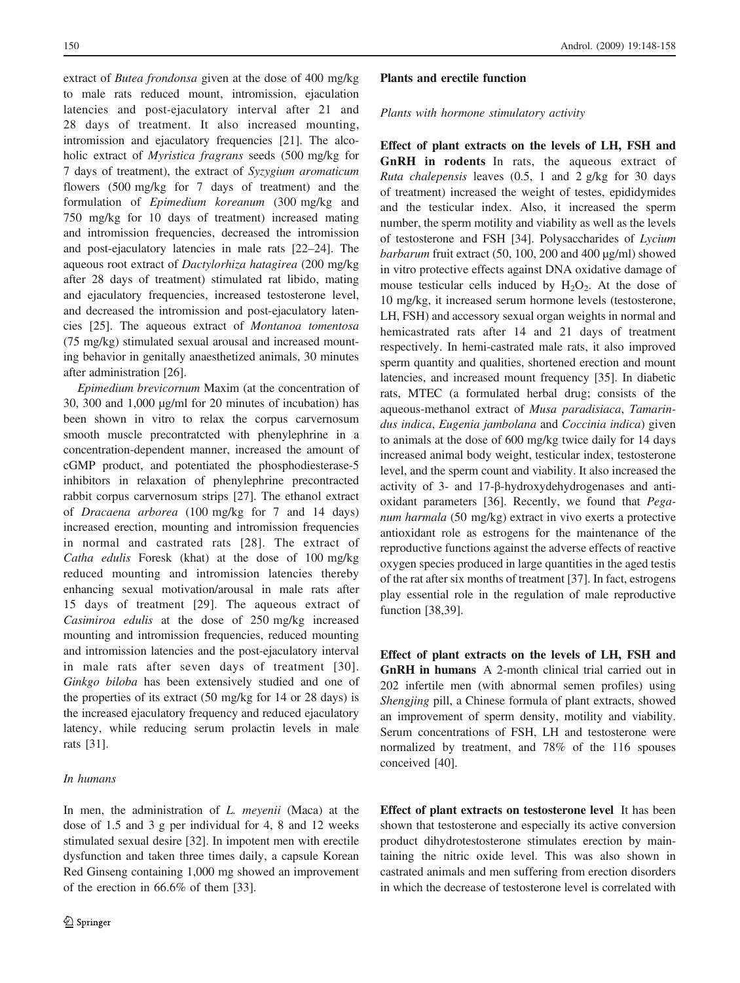extract of Butea frondonsa given at the dose of 400 mg/kg to male rats reduced mount, intromission, ejaculation latencies and post-ejaculatory interval after 21 and 28 days of treatment. It also increased mounting, intromission and ejaculatory frequencies [21]. The alcoholic extract of Myristica fragrans seeds (500 mg/kg for 7 days of treatment), the extract of Syzygium aromaticum flowers (500 mg/kg for 7 days of treatment) and the formulation of Epimedium koreanum (300 mg/kg and 750 mg/kg for 10 days of treatment) increased mating and intromission frequencies, decreased the intromission and post-ejaculatory latencies in male rats [22–24]. The aqueous root extract of Dactylorhiza hatagirea (200 mg/kg after 28 days of treatment) stimulated rat libido, mating and ejaculatory frequencies, increased testosterone level, and decreased the intromission and post-ejaculatory latencies [25]. The aqueous extract of Montanoa tomentosa (75 mg/kg) stimulated sexual arousal and increased mounting behavior in genitally anaesthetized animals, 30 minutes after administration [26].

Epimedium brevicornum Maxim (at the concentration of 30, 300 and 1,000 μg/ml for 20 minutes of incubation) has been shown in vitro to relax the corpus carvernosum smooth muscle precontratcted with phenylephrine in a concentration-dependent manner, increased the amount of cGMP product, and potentiated the phosphodiesterase-5 inhibitors in relaxation of phenylephrine precontracted rabbit corpus carvernosum strips [27]. The ethanol extract of Dracaena arborea (100 mg/kg for 7 and 14 days) increased erection, mounting and intromission frequencies in normal and castrated rats [28]. The extract of Catha edulis Foresk (khat) at the dose of 100 mg/kg reduced mounting and intromission latencies thereby enhancing sexual motivation/arousal in male rats after 15 days of treatment [29]. The aqueous extract of Casimiroa edulis at the dose of 250 mg/kg increased mounting and intromission frequencies, reduced mounting and intromission latencies and the post-ejaculatory interval in male rats after seven days of treatment [30]. Ginkgo biloba has been extensively studied and one of the properties of its extract (50 mg/kg for 14 or 28 days) is the increased ejaculatory frequency and reduced ejaculatory latency, while reducing serum prolactin levels in male rats [31].

## In humans

In men, the administration of  $L$ . *meyenii* (Maca) at the dose of 1.5 and 3 g per individual for 4, 8 and 12 weeks stimulated sexual desire [32]. In impotent men with erectile dysfunction and taken three times daily, a capsule Korean Red Ginseng containing 1,000 mg showed an improvement of the erection in 66.6% of them [33].

#### Plants and erectile function

#### Plants with hormone stimulatory activity

Effect of plant extracts on the levels of LH, FSH and GnRH in rodents In rats, the aqueous extract of Ruta chalepensis leaves (0.5, 1 and 2 g/kg for 30 days of treatment) increased the weight of testes, epididymides and the testicular index. Also, it increased the sperm number, the sperm motility and viability as well as the levels of testosterone and FSH [34]. Polysaccharides of Lycium barbarum fruit extract (50, 100, 200 and 400 μg/ml) showed in vitro protective effects against DNA oxidative damage of mouse testicular cells induced by  $H_2O_2$ . At the dose of 10 mg/kg, it increased serum hormone levels (testosterone, LH, FSH) and accessory sexual organ weights in normal and hemicastrated rats after 14 and 21 days of treatment respectively. In hemi-castrated male rats, it also improved sperm quantity and qualities, shortened erection and mount latencies, and increased mount frequency [35]. In diabetic rats, MTEC (a formulated herbal drug; consists of the aqueous-methanol extract of Musa paradisiaca, Tamarindus indica, Eugenia jambolana and Coccinia indica) given to animals at the dose of 600 mg/kg twice daily for 14 days increased animal body weight, testicular index, testosterone level, and the sperm count and viability. It also increased the activity of 3- and 17-β-hydroxydehydrogenases and antioxidant parameters [36]. Recently, we found that Peganum harmala (50 mg/kg) extract in vivo exerts a protective antioxidant role as estrogens for the maintenance of the reproductive functions against the adverse effects of reactive oxygen species produced in large quantities in the aged testis of the rat after six months of treatment [37]. In fact, estrogens play essential role in the regulation of male reproductive function [38,39].

Effect of plant extracts on the levels of LH, FSH and GnRH in humans A 2-month clinical trial carried out in 202 infertile men (with abnormal semen profiles) using Shengjing pill, a Chinese formula of plant extracts, showed an improvement of sperm density, motility and viability. Serum concentrations of FSH, LH and testosterone were normalized by treatment, and 78% of the 116 spouses conceived [40].

Effect of plant extracts on testosterone level It has been shown that testosterone and especially its active conversion product dihydrotestosterone stimulates erection by maintaining the nitric oxide level. This was also shown in castrated animals and men suffering from erection disorders in which the decrease of testosterone level is correlated with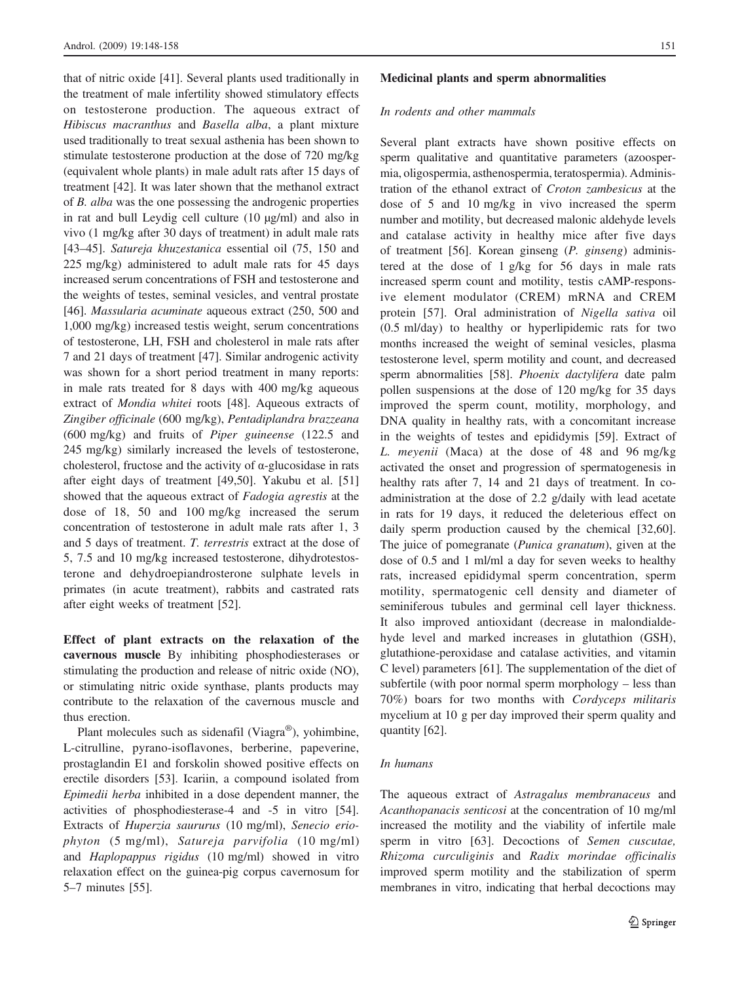that of nitric oxide [41]. Several plants used traditionally in the treatment of male infertility showed stimulatory effects on testosterone production. The aqueous extract of Hibiscus macranthus and Basella alba, a plant mixture used traditionally to treat sexual asthenia has been shown to stimulate testosterone production at the dose of 720 mg/kg (equivalent whole plants) in male adult rats after 15 days of treatment [42]. It was later shown that the methanol extract of B. alba was the one possessing the androgenic properties in rat and bull Leydig cell culture (10 μg/ml) and also in vivo (1 mg/kg after 30 days of treatment) in adult male rats [43–45]. Satureja khuzestanica essential oil (75, 150 and 225 mg/kg) administered to adult male rats for 45 days increased serum concentrations of FSH and testosterone and the weights of testes, seminal vesicles, and ventral prostate [46]. *Massularia acuminate* aqueous extract (250, 500 and 1,000 mg/kg) increased testis weight, serum concentrations of testosterone, LH, FSH and cholesterol in male rats after 7 and 21 days of treatment [47]. Similar androgenic activity was shown for a short period treatment in many reports: in male rats treated for 8 days with 400 mg/kg aqueous extract of Mondia whitei roots [48]. Aqueous extracts of Zingiber officinale (600 mg/kg), Pentadiplandra brazzeana (600 mg/kg) and fruits of Piper guineense (122.5 and 245 mg/kg) similarly increased the levels of testosterone, cholesterol, fructose and the activity of  $\alpha$ -glucosidase in rats after eight days of treatment [49,50]. Yakubu et al. [51] showed that the aqueous extract of Fadogia agrestis at the dose of 18, 50 and 100 mg/kg increased the serum concentration of testosterone in adult male rats after 1, 3 and 5 days of treatment. T. terrestris extract at the dose of 5, 7.5 and 10 mg/kg increased testosterone, dihydrotestosterone and dehydroepiandrosterone sulphate levels in primates (in acute treatment), rabbits and castrated rats after eight weeks of treatment [52].

Effect of plant extracts on the relaxation of the cavernous muscle By inhibiting phosphodiesterases or stimulating the production and release of nitric oxide (NO), or stimulating nitric oxide synthase, plants products may contribute to the relaxation of the cavernous muscle and thus erection.

Plant molecules such as sidenafil (Viagra®), yohimbine, L-citrulline, pyrano-isoflavones, berberine, papeverine, prostaglandin E1 and forskolin showed positive effects on erectile disorders [53]. Icariin, a compound isolated from Epimedii herba inhibited in a dose dependent manner, the activities of phosphodiesterase-4 and -5 in vitro [54]. Extracts of Huperzia saururus (10 mg/ml), Senecio eriophyton (5 mg/ml), Satureja parvifolia (10 mg/ml) and Haplopappus rigidus (10 mg/ml) showed in vitro relaxation effect on the guinea-pig corpus cavernosum for 5–7 minutes [55].

#### Medicinal plants and sperm abnormalities

#### In rodents and other mammals

Several plant extracts have shown positive effects on sperm qualitative and quantitative parameters (azoospermia, oligospermia, asthenospermia, teratospermia). Administration of the ethanol extract of Croton zambesicus at the dose of 5 and 10 mg/kg in vivo increased the sperm number and motility, but decreased malonic aldehyde levels and catalase activity in healthy mice after five days of treatment [56]. Korean ginseng (P. ginseng) administered at the dose of 1 g/kg for 56 days in male rats increased sperm count and motility, testis cAMP-responsive element modulator (CREM) mRNA and CREM protein [57]. Oral administration of Nigella sativa oil (0.5 ml/day) to healthy or hyperlipidemic rats for two months increased the weight of seminal vesicles, plasma testosterone level, sperm motility and count, and decreased sperm abnormalities [58]. Phoenix dactylifera date palm pollen suspensions at the dose of 120 mg/kg for 35 days improved the sperm count, motility, morphology, and DNA quality in healthy rats, with a concomitant increase in the weights of testes and epididymis [59]. Extract of L. meyenii (Maca) at the dose of 48 and 96 mg/kg activated the onset and progression of spermatogenesis in healthy rats after 7, 14 and 21 days of treatment. In coadministration at the dose of 2.2 g/daily with lead acetate in rats for 19 days, it reduced the deleterious effect on daily sperm production caused by the chemical [32,60]. The juice of pomegranate (*Punica granatum*), given at the dose of 0.5 and 1 ml/ml a day for seven weeks to healthy rats, increased epididymal sperm concentration, sperm motility, spermatogenic cell density and diameter of seminiferous tubules and germinal cell layer thickness. It also improved antioxidant (decrease in malondialdehyde level and marked increases in glutathion (GSH), glutathione-peroxidase and catalase activities, and vitamin C level) parameters [61]. The supplementation of the diet of subfertile (with poor normal sperm morphology – less than 70%) boars for two months with Cordyceps militaris mycelium at 10 g per day improved their sperm quality and quantity [62].

## In humans

The aqueous extract of Astragalus membranaceus and Acanthopanacis senticosi at the concentration of 10 mg/ml increased the motility and the viability of infertile male sperm in vitro [63]. Decoctions of Semen cuscutae, Rhizoma curculiginis and Radix morindae officinalis improved sperm motility and the stabilization of sperm membranes in vitro, indicating that herbal decoctions may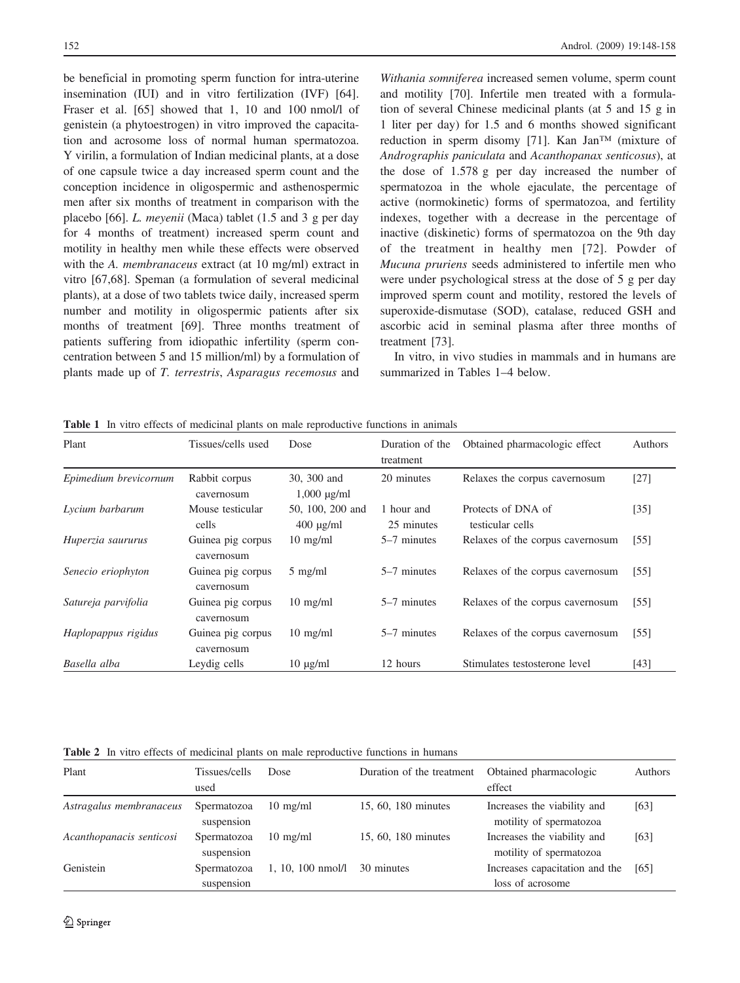be beneficial in promoting sperm function for intra-uterine insemination (IUI) and in vitro fertilization (IVF) [64]. Fraser et al. [65] showed that 1, 10 and 100 nmol/l of genistein (a phytoestrogen) in vitro improved the capacitation and acrosome loss of normal human spermatozoa. Y virilin, a formulation of Indian medicinal plants, at a dose of one capsule twice a day increased sperm count and the conception incidence in oligospermic and asthenospermic men after six months of treatment in comparison with the placebo [66]. L. meyenii (Maca) tablet (1.5 and 3 g per day for 4 months of treatment) increased sperm count and motility in healthy men while these effects were observed with the A. *membranaceus* extract (at 10 mg/ml) extract in vitro [67,68]. Speman (a formulation of several medicinal plants), at a dose of two tablets twice daily, increased sperm number and motility in oligospermic patients after six months of treatment [69]. Three months treatment of patients suffering from idiopathic infertility (sperm concentration between 5 and 15 million/ml) by a formulation of plants made up of T. terrestris, Asparagus recemosus and

Withania somniferea increased semen volume, sperm count and motility [70]. Infertile men treated with a formulation of several Chinese medicinal plants (at 5 and 15 g in 1 liter per day) for 1.5 and 6 months showed significant reduction in sperm disomy [71]. Kan Jan™ (mixture of Andrographis paniculata and Acanthopanax senticosus), at the dose of 1.578 g per day increased the number of spermatozoa in the whole ejaculate, the percentage of active (normokinetic) forms of spermatozoa, and fertility indexes, together with a decrease in the percentage of inactive (diskinetic) forms of spermatozoa on the 9th day of the treatment in healthy men [72]. Powder of Mucuna pruriens seeds administered to infertile men who were under psychological stress at the dose of 5 g per day improved sperm count and motility, restored the levels of superoxide-dismutase (SOD), catalase, reduced GSH and ascorbic acid in seminal plasma after three months of treatment [73].

In vitro, in vivo studies in mammals and in humans are summarized in Tables 1–4 below.

Table 1 In vitro effects of medicinal plants on male reproductive functions in animals

| Plant                 | Tissues/cells used              | Dose                               | Duration of the<br>treatment | Obtained pharmacologic effect          | Authors           |
|-----------------------|---------------------------------|------------------------------------|------------------------------|----------------------------------------|-------------------|
| Epimedium brevicornum | Rabbit corpus<br>cavernosum     | 30, 300 and<br>$1,000 \mu g/ml$    | 20 minutes                   | Relaxes the corpus cavernosum          | $[27]$            |
| Lycium barbarum       | Mouse testicular<br>cells       | 50, 100, 200 and<br>$400 \mu g/ml$ | 1 hour and<br>25 minutes     | Protects of DNA of<br>testicular cells | [35]              |
| Huperzia saururus     | Guinea pig corpus<br>cavernosum | $10 \text{ mg/ml}$                 | 5–7 minutes                  | Relaxes of the corpus cavernosum       | [55]              |
| Senecio eriophyton    | Guinea pig corpus<br>cavernosum | $5$ mg/ml                          | 5–7 minutes                  | Relaxes of the corpus cavernosum       | $\left[55\right]$ |
| Satureja parvifolia   | Guinea pig corpus<br>cavernosum | $10 \text{ mg/ml}$                 | 5–7 minutes                  | Relaxes of the corpus cavernosum       | $\left[55\right]$ |
| Haplopappus rigidus   | Guinea pig corpus<br>cavernosum | $10$ mg/ml                         | 5–7 minutes                  | Relaxes of the corpus cavernosum       | [55]              |
| Basella alba          | Leydig cells                    | $10 \mu g/ml$                      | 12 hours                     | Stimulates testosterone level          | [43]              |

Table 2 In vitro effects of medicinal plants on male reproductive functions in humans

| Plant                    | Tissues/cells<br>used     | Dose                        | Duration of the treatment | Obtained pharmacologic<br>effect                       | Authors |
|--------------------------|---------------------------|-----------------------------|---------------------------|--------------------------------------------------------|---------|
| Astragalus membranaceus  | Spermatozoa<br>suspension | $10 \text{ mg/ml}$          | 15, 60, 180 minutes       | Increases the viability and<br>motility of spermatozoa | [63]    |
| Acanthopanacis senticosi | Spermatozoa<br>suspension | $10 \text{ mg/ml}$          | 15, 60, 180 minutes       | Increases the viability and<br>motility of spermatozoa | [63]    |
| Genistein                | Spermatozoa<br>suspension | $1, 10, 100 \text{ nmol/l}$ | 30 minutes                | Increases capacitation and the<br>loss of acrosome     | [65]    |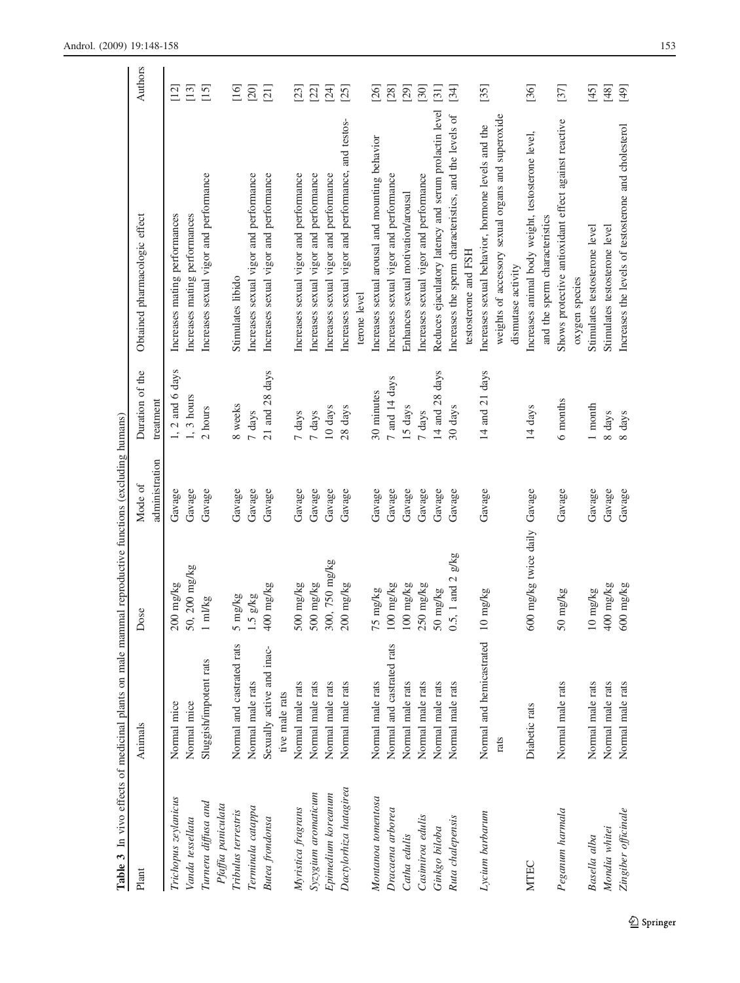| Trichopus zeylanicus<br>Turnera diffusa and<br>Pfaffia paniculata<br>Vanda tessellata<br>Plant |                           |                              |                           |                              |                                                                         |                                    |
|------------------------------------------------------------------------------------------------|---------------------------|------------------------------|---------------------------|------------------------------|-------------------------------------------------------------------------|------------------------------------|
|                                                                                                | Animals                   | Dose                         | administration<br>Mode of | Duration of the<br>treatment | Obtained pharmacologic effect                                           | Authors                            |
|                                                                                                | Normal mice               | 200 mg/kg                    | Gavage                    | 1, 2 and 6 days              | Increases mating performances                                           | $[12]$                             |
|                                                                                                | Normal mice               | 50, 200 mg/kg                | Gavage                    | 1, 3 hours                   | Increases mating performances                                           | $\begin{bmatrix} 13 \end{bmatrix}$ |
|                                                                                                | Sluggish/impotent rats    | $1 \text{ }\mathrm{mHg}$     | Gavage                    | 2 hours                      | Increases sexual vigor and performance                                  | $\boxed{15}$                       |
|                                                                                                |                           |                              |                           |                              |                                                                         |                                    |
| Tribulus terrestris                                                                            | Normal and castrated rats | mg/kg<br>$\overline{5}$      | Gavage                    | 8 weeks                      | Stimulates libido                                                       | $\Xi$                              |
| Terminala catappa                                                                              | Normal male rats          | $1.5$ g/kg                   | Gavage                    | 7 days                       | Increases sexual vigor and performance                                  | [20]                               |
| <b>Butea</b> frondonsa                                                                         | Sexually active and inac- | $400$ mg/kg                  | Gavage                    | 21 and 28 days               | Increases sexual vigor and performance                                  | $[21]$                             |
|                                                                                                | tive male rats            |                              |                           |                              |                                                                         |                                    |
| Myristica fragrans                                                                             | Normal male rats          | 500 mg/kg                    | Gavage                    | 7 days                       | Increases sexual vigor and performance                                  | [23]                               |
| Syzygium aromaticum                                                                            | Normal male rats          | 500 mg/kg                    | Gavage                    | 7 days                       | Increases sexual vigor and performance                                  | $[22]$                             |
| Epimedium koreanum                                                                             | Normal male rats          | 300, 750 mg/kg               | Gavage                    | 10 days                      | Increases sexual vigor and performance                                  | [24]                               |
| Dactylorhiza hatagirea                                                                         | Normal male rats          | $200 \; \rm mg/kg$           | Gavage                    | $28\ \mathrm{days}$          | Increases sexual vigor and performance, and testos-                     | $[25]$                             |
|                                                                                                |                           |                              |                           |                              | terone level                                                            |                                    |
| Montanoa tomentosa                                                                             | Normal male rats          | 75 mg/kg                     | Gavage                    | 30 minutes                   | Increases sexual arousal and mounting behavior                          | $[26]$                             |
| Dracaena arborea                                                                               | Normal and castrated rats | $100 \; \rm mg/kg$           | Gavage                    | 7 and 14 days                | Increases sexual vigor and performance                                  | [28]                               |
| Catha edulis                                                                                   | Normal male rats          | $100 \text{ mg/kg}$          | Gavage                    | 15 days                      | Enhances sexual motivation/arousal                                      | [29]                               |
| Casimiroa edulis                                                                               | Normal male rats          | $250$ mg/kg                  | Gavage                    | 7 days                       | Increases sexual vigor and performance                                  | [30]                               |
| Ginkgo biloba                                                                                  | Normal male rats          | 50 mg/kg                     | Gavage                    | 14 and 28 days               | Reduces ejaculatory latency and serum prolactin level                   | $\begin{bmatrix} 31 \end{bmatrix}$ |
| Ruta chalepensis                                                                               | Normal male rats          | 0.5, 1 and 2 $g/kg$          | Gavage                    | 30 days                      | Increases the sperm characteristics, and the levels of                  | [34]                               |
|                                                                                                |                           |                              |                           |                              | testosterone and FSH                                                    |                                    |
| Lycium barbarum                                                                                | Normal and hemicastrated  | mg/kg<br>$\approx$           | Gavage                    | 14 and 21 days               | Increases sexual behavior, hormone levels and the                       | $[35]$                             |
|                                                                                                | rats                      |                              |                           |                              | weights of accessory sexual organs and superoxide<br>dismutase activity |                                    |
| <b>MTEC</b>                                                                                    | Diabetic rats             | 600 mg/kg twice daily Gavage |                           | 14 days                      | Increases animal body weight, testosterone level,                       | [36]                               |
|                                                                                                |                           |                              |                           |                              | and the sperm characteristics                                           |                                    |
| Peganum harmala                                                                                | Normal male rats          | mg/kg<br>$50\,$              | Gavage                    | 6 months                     | Shows protective antioxidant effect against reactive                    | [37]                               |
|                                                                                                |                           |                              |                           |                              | oxygen species                                                          |                                    |
| Basella alba                                                                                   | Normal male rats          | mg/kg<br>$\Xi$               | Gavage                    | 1 month                      | Stimulates testosterone level                                           | $[45]$                             |
| Mondia whitei                                                                                  | Normal male rats          | 400 mg/kg                    | Gavage                    | 8 days                       | Stimulates testosterone level                                           | $[48]$                             |
| Zingiber officinale                                                                            | Normal male rats          | $600 \; \rm mg/kg$           | Gavage                    | 8 days                       | Increases the levels of testosterone and cholesterol                    | $[49]$                             |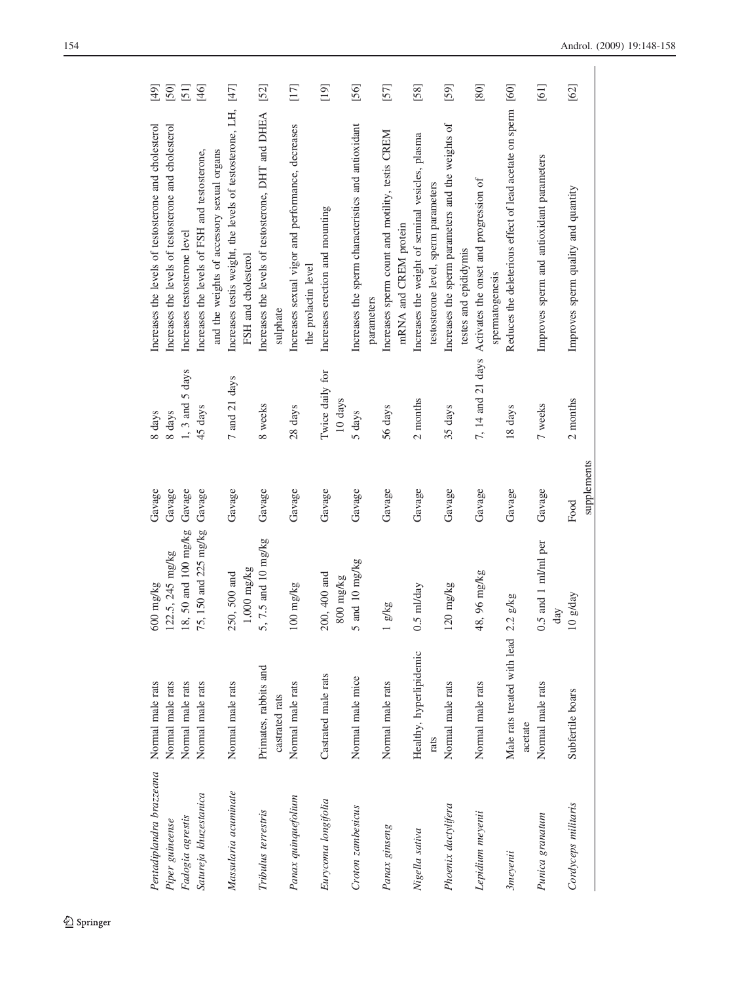| Pentadiplandra brazzeana | Normal male rats            | 600 mg/kg                    | Gavage      | 8 days          | Increases the levels of testosterone and cholesterol                       | [49]                               |
|--------------------------|-----------------------------|------------------------------|-------------|-----------------|----------------------------------------------------------------------------|------------------------------------|
|                          |                             |                              |             |                 |                                                                            |                                    |
| Piper guineense          | Normal male rats            | 122.5, 245 mg/kg             | Gavage      | 8 days          | Increases the levels of testosterone and cholesterol                       | [50]                               |
| Fadogia agrestis         | Normal male rats            | 18, 50 and 100 mg/kg         | Gavage      | 1, 3 and 5 days | Increases testosterone level                                               | $\begin{bmatrix} 51 \end{bmatrix}$ |
| Satureja khuzestanica    | Normal male rats            | 75, 150 and 225 mg/kg        | Gavage      | 45 days         | Increases the levels of FSH and testosterone,                              | $[46]$                             |
|                          |                             |                              |             |                 | and the weights of accessory sexual organs                                 |                                    |
| Massularia acuminate     | Normal male rats            | 250, 500 and                 | Gavage      | 7 and 21 days   | Increases testis weight, the levels of testosterone, LH, [47]              |                                    |
|                          |                             | $1,000$ mg/kg                |             |                 | FSH and cholesterol                                                        |                                    |
| Tribulus terrestris      | Primates, rabbits and       | 5, 7.5 and 10 mg/kg          | Gavage      | 8 weeks         | Increases the levels of testosterone, DHT and DHEA                         | $[52]$                             |
|                          | castrated rats              |                              |             |                 | sulphate                                                                   |                                    |
| Panax quinquefolium      | Normal male rats            | 100 mg/kg                    | Gavage      | 28 days         | Increases sexual vigor and performance, decreases<br>the prolactin level   | $\Xi$                              |
| Eurycoma longifolia      | Castrated male rats         | 200, 400 and                 | Gavage      | Twice daily for | Increases erection and mounting                                            | [19]                               |
|                          |                             | 800 mg/kg                    |             | 10 days         |                                                                            |                                    |
| Croton zambesicus        | Normal male mice            | 5 and 10 mg/kg               | Gavage      | 5 days          | Increases the sperm characteristics and antioxidant                        | [56]                               |
|                          |                             |                              |             |                 | parameters                                                                 |                                    |
| Panax ginseng            | Normal male rats            | g/kg                         | Gavage      | 56 days         | Increases sperm count and motility, testis CREM                            | [57]                               |
|                          |                             |                              |             |                 | mRNA and CREM protein                                                      |                                    |
| Nigella sativa           | Healthy, hyperlipidemic     | $0.5 \text{ m}$ $\text{day}$ | Gavage      | 2 months        | Increases the weight of seminal vesicles, plasma                           | [58]                               |
|                          | rats                        |                              |             |                 | testosterone level, sperm parameters                                       |                                    |
| Phoenix dactylifera      | Normal male rats            | 120 mg/kg                    | Gavage      | 35 days         | Increases the sperm parameters and the weights of<br>testes and epididymis | [59]                               |
| Lepidium meyenii         | Normal male rats            | 48, 96 mg/kg                 | Gavage      |                 | 7, 14 and 21 days Activates the onset and progression of                   | [80]                               |
|                          |                             |                              |             |                 | spermatogenesis                                                            |                                    |
| 3meyenii                 | Male rats treated with lead | $2.2$ g/kg                   | Gavage      | 18 days         | Reduces the deleterious effect of lead acetate on sperm                    | [60]                               |
|                          | acetate                     |                              |             |                 |                                                                            |                                    |
| Punica granatum          | Normal male rats            | 0.5 and 1 ml/ml per          | Gavage      | 7 weeks         | Improves sperm and antioxidant parameters                                  | $[61]$                             |
|                          |                             | day                          |             |                 |                                                                            |                                    |
| Cordyceps militaris      | Subfertile boars            | 10 g/day                     | Food        | 2 months        | Improves sperm quality and quantity                                        | $[62]$                             |
|                          |                             |                              | supplements |                 |                                                                            |                                    |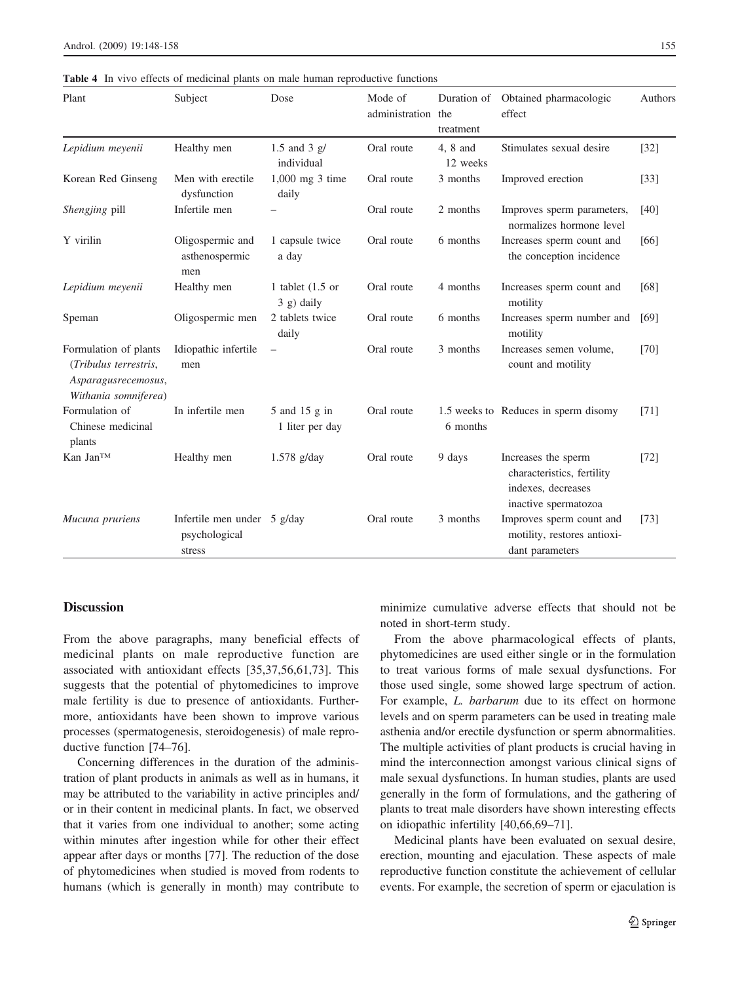Androl. (2009) 19:148-158 155

Table 4 In vivo effects of medicinal plants on male human reproductive functions

| Plant                                                                                         | Subject                                                  | Dose                                        | Mode of<br>administration | the<br>treatment     | Duration of Obtained pharmacologic<br>effect                                                    | Authors |
|-----------------------------------------------------------------------------------------------|----------------------------------------------------------|---------------------------------------------|---------------------------|----------------------|-------------------------------------------------------------------------------------------------|---------|
| Lepidium meyenii                                                                              | Healthy men                                              | 1.5 and 3 $g/$<br>individual                | Oral route                | 4, 8 and<br>12 weeks | Stimulates sexual desire                                                                        | $[32]$  |
| Korean Red Ginseng                                                                            | Men with erectile<br>dysfunction                         | 1,000 mg 3 time<br>daily                    | Oral route                | 3 months             | Improved erection                                                                               | $[33]$  |
| Shengjing pill                                                                                | Infertile men                                            |                                             | Oral route                | 2 months             | Improves sperm parameters,<br>normalizes hormone level                                          | [40]    |
| Y virilin                                                                                     | Oligospermic and<br>asthenospermic<br>men                | 1 capsule twice<br>a day                    | Oral route                | 6 months             | Increases sperm count and<br>the conception incidence                                           | [66]    |
| Lepidium meyenii                                                                              | Healthy men                                              | 1 tablet $(1.5 \text{ or }$<br>$3$ g) daily | Oral route                | 4 months             | Increases sperm count and<br>motility                                                           | $[68]$  |
| Speman                                                                                        | Oligospermic men                                         | 2 tablets twice<br>daily                    | Oral route                | 6 months             | Increases sperm number and<br>motility                                                          | [69]    |
| Formulation of plants<br>(Tribulus terrestris,<br>Asparagusrecemosus,<br>Withania somniferea) | Idiopathic infertile<br>men                              | $\overline{\phantom{0}}$                    | Oral route                | 3 months             | Increases semen volume,<br>count and motility                                                   | $[70]$  |
| Formulation of<br>Chinese medicinal<br>plants                                                 | In infertile men                                         | 5 and 15 g in<br>1 liter per day            | Oral route                | 6 months             | 1.5 weeks to Reduces in sperm disomy                                                            | $[71]$  |
| Kan Jan™                                                                                      | Healthy men                                              | $1.578$ g/day                               | Oral route                | 9 days               | Increases the sperm<br>characteristics, fertility<br>indexes, decreases<br>inactive spermatozoa | $[72]$  |
| Mucuna pruriens                                                                               | Infertile men under $5$ g/day<br>psychological<br>stress |                                             | Oral route                | 3 months             | Improves sperm count and<br>motility, restores antioxi-<br>dant parameters                      | [73]    |

# **Discussion**

From the above paragraphs, many beneficial effects of medicinal plants on male reproductive function are associated with antioxidant effects [35,37,56,61,73]. This suggests that the potential of phytomedicines to improve male fertility is due to presence of antioxidants. Furthermore, antioxidants have been shown to improve various processes (spermatogenesis, steroidogenesis) of male reproductive function [74–76].

Concerning differences in the duration of the administration of plant products in animals as well as in humans, it may be attributed to the variability in active principles and/ or in their content in medicinal plants. In fact, we observed that it varies from one individual to another; some acting within minutes after ingestion while for other their effect appear after days or months [77]. The reduction of the dose of phytomedicines when studied is moved from rodents to humans (which is generally in month) may contribute to

minimize cumulative adverse effects that should not be noted in short-term study.

From the above pharmacological effects of plants, phytomedicines are used either single or in the formulation to treat various forms of male sexual dysfunctions. For those used single, some showed large spectrum of action. For example, L. barbarum due to its effect on hormone levels and on sperm parameters can be used in treating male asthenia and/or erectile dysfunction or sperm abnormalities. The multiple activities of plant products is crucial having in mind the interconnection amongst various clinical signs of male sexual dysfunctions. In human studies, plants are used generally in the form of formulations, and the gathering of plants to treat male disorders have shown interesting effects on idiopathic infertility [40,66,69–71].

Medicinal plants have been evaluated on sexual desire, erection, mounting and ejaculation. These aspects of male reproductive function constitute the achievement of cellular events. For example, the secretion of sperm or ejaculation is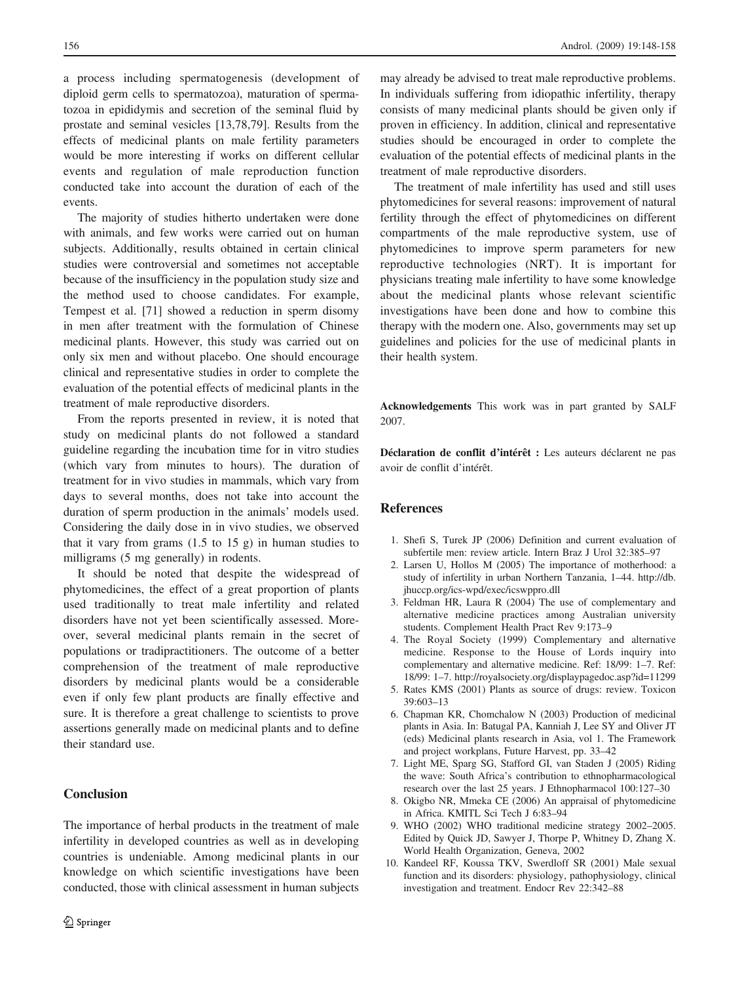a process including spermatogenesis (development of diploid germ cells to spermatozoa), maturation of spermatozoa in epididymis and secretion of the seminal fluid by prostate and seminal vesicles [13,78,79]. Results from the effects of medicinal plants on male fertility parameters would be more interesting if works on different cellular events and regulation of male reproduction function conducted take into account the duration of each of the events.

The majority of studies hitherto undertaken were done with animals, and few works were carried out on human subjects. Additionally, results obtained in certain clinical studies were controversial and sometimes not acceptable because of the insufficiency in the population study size and the method used to choose candidates. For example, Tempest et al. [71] showed a reduction in sperm disomy in men after treatment with the formulation of Chinese medicinal plants. However, this study was carried out on only six men and without placebo. One should encourage clinical and representative studies in order to complete the evaluation of the potential effects of medicinal plants in the treatment of male reproductive disorders.

From the reports presented in review, it is noted that study on medicinal plants do not followed a standard guideline regarding the incubation time for in vitro studies (which vary from minutes to hours). The duration of treatment for in vivo studies in mammals, which vary from days to several months, does not take into account the duration of sperm production in the animals' models used. Considering the daily dose in in vivo studies, we observed that it vary from grams  $(1.5 \text{ to } 15 \text{ g})$  in human studies to milligrams (5 mg generally) in rodents.

It should be noted that despite the widespread of phytomedicines, the effect of a great proportion of plants used traditionally to treat male infertility and related disorders have not yet been scientifically assessed. Moreover, several medicinal plants remain in the secret of populations or tradipractitioners. The outcome of a better comprehension of the treatment of male reproductive disorders by medicinal plants would be a considerable even if only few plant products are finally effective and sure. It is therefore a great challenge to scientists to prove assertions generally made on medicinal plants and to define their standard use.

# **Conclusion**

The importance of herbal products in the treatment of male infertility in developed countries as well as in developing countries is undeniable. Among medicinal plants in our knowledge on which scientific investigations have been conducted, those with clinical assessment in human subjects

may already be advised to treat male reproductive problems. In individuals suffering from idiopathic infertility, therapy consists of many medicinal plants should be given only if proven in efficiency. In addition, clinical and representative studies should be encouraged in order to complete the evaluation of the potential effects of medicinal plants in the treatment of male reproductive disorders.

The treatment of male infertility has used and still uses phytomedicines for several reasons: improvement of natural fertility through the effect of phytomedicines on different compartments of the male reproductive system, use of phytomedicines to improve sperm parameters for new reproductive technologies (NRT). It is important for physicians treating male infertility to have some knowledge about the medicinal plants whose relevant scientific investigations have been done and how to combine this therapy with the modern one. Also, governments may set up guidelines and policies for the use of medicinal plants in their health system.

Acknowledgements This work was in part granted by SALF 2007.

Déclaration de conflit d'intérêt : Les auteurs déclarent ne pas avoir de conflit d'intérêt.

# References

- 1. Shefi S, Turek JP (2006) Definition and current evaluation of subfertile men: review article. Intern Braz J Urol 32:385–97
- 2. Larsen U, Hollos M (2005) The importance of motherhood: a study of infertility in urban Northern Tanzania, 1–44. http://db. jhuccp.org/ics-wpd/exec/icswppro.dll
- 3. Feldman HR, Laura R (2004) The use of complementary and alternative medicine practices among Australian university students. Complement Health Pract Rev 9:173–9
- 4. The Royal Society (1999) Complementary and alternative medicine. Response to the House of Lords inquiry into complementary and alternative medicine. Ref: 18/99: 1–7. Ref: 18/99: 1–7. http://royalsociety.org/displaypagedoc.asp?id=11299
- 5. Rates KMS (2001) Plants as source of drugs: review. Toxicon 39:603–13
- 6. Chapman KR, Chomchalow N (2003) Production of medicinal plants in Asia. In: Batugal PA, Kanniah J, Lee SY and Oliver JT (eds) Medicinal plants research in Asia, vol 1. The Framework and project workplans, Future Harvest, pp. 33–42
- 7. Light ME, Sparg SG, Stafford GI, van Staden J (2005) Riding the wave: South Africa's contribution to ethnopharmacological research over the last 25 years. J Ethnopharmacol 100:127–30
- 8. Okigbo NR, Mmeka CE (2006) An appraisal of phytomedicine in Africa. KMITL Sci Tech J 6:83–94
- 9. WHO (2002) WHO traditional medicine strategy 2002–2005. Edited by Quick JD, Sawyer J, Thorpe P, Whitney D, Zhang X. World Health Organization, Geneva, 2002
- 10. Kandeel RF, Koussa TKV, Swerdloff SR (2001) Male sexual function and its disorders: physiology, pathophysiology, clinical investigation and treatment. Endocr Rev 22:342–88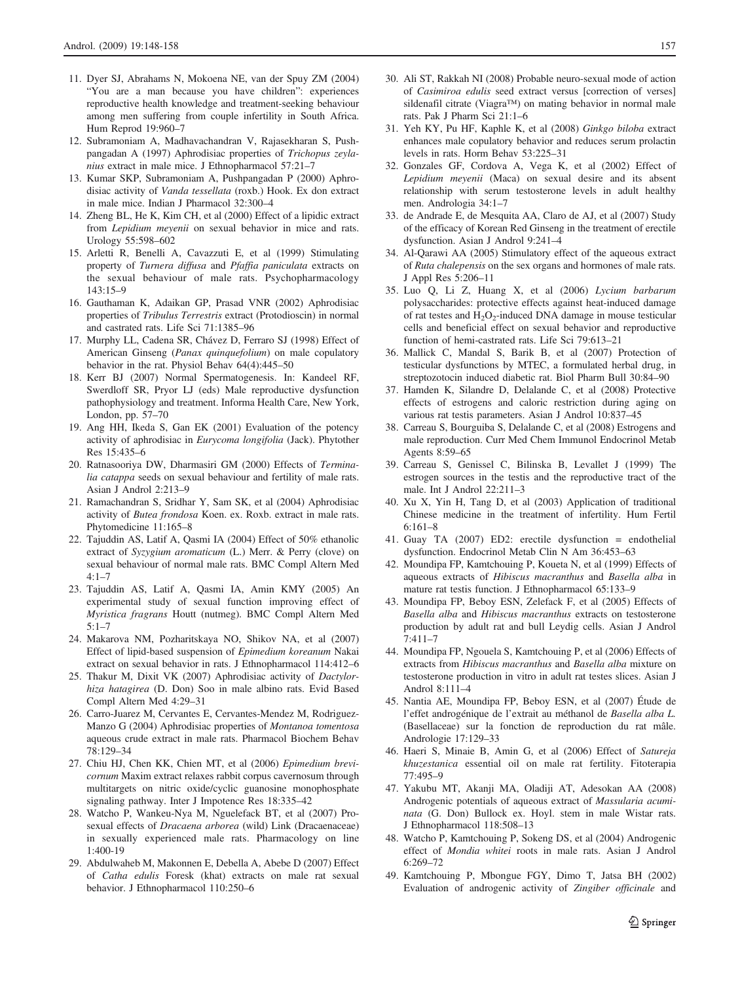- 11. Dyer SJ, Abrahams N, Mokoena NE, van der Spuy ZM (2004) "You are a man because you have children": experiences reproductive health knowledge and treatment-seeking behaviour among men suffering from couple infertility in South Africa. Hum Reprod 19:960–7
- 12. Subramoniam A, Madhavachandran V, Rajasekharan S, Pushpangadan A (1997) Aphrodisiac properties of Trichopus zeylanius extract in male mice. J Ethnopharmacol 57:21–7
- 13. Kumar SKP, Subramoniam A, Pushpangadan P (2000) Aphrodisiac activity of Vanda tessellata (roxb.) Hook. Ex don extract in male mice. Indian J Pharmacol 32:300–4
- 14. Zheng BL, He K, Kim CH, et al (2000) Effect of a lipidic extract from Lepidium meyenii on sexual behavior in mice and rats. Urology 55:598–602
- 15. Arletti R, Benelli A, Cavazzuti E, et al (1999) Stimulating property of Turnera diffusa and Pfaffia paniculata extracts on the sexual behaviour of male rats. Psychopharmacology 143:15–9
- 16. Gauthaman K, Adaikan GP, Prasad VNR (2002) Aphrodisiac properties of Tribulus Terrestris extract (Protodioscin) in normal and castrated rats. Life Sci 71:1385–96
- 17. Murphy LL, Cadena SR, Chávez D, Ferraro SJ (1998) Effect of American Ginseng (Panax quinquefolium) on male copulatory behavior in the rat. Physiol Behav 64(4):445–50
- 18. Kerr BJ (2007) Normal Spermatogenesis. In: Kandeel RF, Swerdloff SR, Pryor LJ (eds) Male reproductive dysfunction pathophysiology and treatment. Informa Health Care, New York, London, pp. 57–70
- 19. Ang HH, Ikeda S, Gan EK (2001) Evaluation of the potency activity of aphrodisiac in Eurycoma longifolia (Jack). Phytother Res 15:435–6
- 20. Ratnasooriya DW, Dharmasiri GM (2000) Effects of Terminalia catappa seeds on sexual behaviour and fertility of male rats. Asian J Androl 2:213–9
- 21. Ramachandran S, Sridhar Y, Sam SK, et al (2004) Aphrodisiac activity of Butea frondosa Koen. ex. Roxb. extract in male rats. Phytomedicine 11:165–8
- 22. Tajuddin AS, Latif A, Qasmi IA (2004) Effect of 50% ethanolic extract of Syzygium aromaticum (L.) Merr. & Perry (clove) on sexual behaviour of normal male rats. BMC Compl Altern Med 4:1–7
- 23. Tajuddin AS, Latif A, Qasmi IA, Amin KMY (2005) An experimental study of sexual function improving effect of Myristica fragrans Houtt (nutmeg). BMC Compl Altern Med 5:1–7
- 24. Makarova NM, Pozharitskaya NO, Shikov NA, et al (2007) Effect of lipid-based suspension of Epimedium koreanum Nakai extract on sexual behavior in rats. J Ethnopharmacol 114:412–6
- 25. Thakur M, Dixit VK (2007) Aphrodisiac activity of Dactylorhiza hatagirea (D. Don) Soo in male albino rats. Evid Based Compl Altern Med 4:29–31
- 26. Carro-Juarez M, Cervantes E, Cervantes-Mendez M, Rodriguez-Manzo G (2004) Aphrodisiac properties of Montanoa tomentosa aqueous crude extract in male rats. Pharmacol Biochem Behav 78:129–34
- 27. Chiu HJ, Chen KK, Chien MT, et al (2006) Epimedium brevicornum Maxim extract relaxes rabbit corpus cavernosum through multitargets on nitric oxide/cyclic guanosine monophosphate signaling pathway. Inter J Impotence Res 18:335–42
- 28. Watcho P, Wankeu-Nya M, Nguelefack BT, et al (2007) Prosexual effects of Dracaena arborea (wild) Link (Dracaenaceae) in sexually experienced male rats. Pharmacology on line 1:400-19
- 29. Abdulwaheb M, Makonnen E, Debella A, Abebe D (2007) Effect of Catha edulis Foresk (khat) extracts on male rat sexual behavior. J Ethnopharmacol 110:250–6
- 30. Ali ST, Rakkah NI (2008) Probable neuro-sexual mode of action of Casimiroa edulis seed extract versus [correction of verses] sildenafil citrate (Viagra™) on mating behavior in normal male rats. Pak J Pharm Sci 21:1–6
- 31. Yeh KY, Pu HF, Kaphle K, et al (2008) Ginkgo biloba extract enhances male copulatory behavior and reduces serum prolactin levels in rats. Horm Behav 53:225–31
- 32. Gonzales GF, Cordova A, Vega K, et al (2002) Effect of Lepidium meyenii (Maca) on sexual desire and its absent relationship with serum testosterone levels in adult healthy men. Andrologia 34:1–7
- 33. de Andrade E, de Mesquita AA, Claro de AJ, et al (2007) Study of the efficacy of Korean Red Ginseng in the treatment of erectile dysfunction. Asian J Androl 9:241–4
- 34. Al-Qarawi AA (2005) Stimulatory effect of the aqueous extract of Ruta chalepensis on the sex organs and hormones of male rats. J Appl Res 5:206–11
- 35. Luo Q, Li Z, Huang X, et al (2006) Lycium barbarum polysaccharides: protective effects against heat-induced damage of rat testes and  $H_2O_2$ -induced DNA damage in mouse testicular cells and beneficial effect on sexual behavior and reproductive function of hemi-castrated rats. Life Sci 79:613–21
- 36. Mallick C, Mandal S, Barik B, et al (2007) Protection of testicular dysfunctions by MTEC, a formulated herbal drug, in streptozotocin induced diabetic rat. Biol Pharm Bull 30:84–90
- 37. Hamden K, Silandre D, Delalande C, et al (2008) Protective effects of estrogens and caloric restriction during aging on various rat testis parameters. Asian J Androl 10:837–45
- 38. Carreau S, Bourguiba S, Delalande C, et al (2008) Estrogens and male reproduction. Curr Med Chem Immunol Endocrinol Metab Agents 8:59–65
- 39. Carreau S, Genissel C, Bilinska B, Levallet J (1999) The estrogen sources in the testis and the reproductive tract of the male. Int J Androl 22:211–3
- 40. Xu X, Yin H, Tang D, et al (2003) Application of traditional Chinese medicine in the treatment of infertility. Hum Fertil 6:161–8
- 41. Guay TA (2007) ED2: erectile dysfunction = endothelial dysfunction. Endocrinol Metab Clin N Am 36:453–63
- 42. Moundipa FP, Kamtchouing P, Koueta N, et al (1999) Effects of aqueous extracts of Hibiscus macranthus and Basella alba in mature rat testis function. J Ethnopharmacol 65:133–9
- 43. Moundipa FP, Beboy ESN, Zelefack F, et al (2005) Effects of Basella alba and Hibiscus macranthus extracts on testosterone production by adult rat and bull Leydig cells. Asian J Androl 7:411–7
- 44. Moundipa FP, Ngouela S, Kamtchouing P, et al (2006) Effects of extracts from Hibiscus macranthus and Basella alba mixture on testosterone production in vitro in adult rat testes slices. Asian J Androl 8:111–4
- 45. Nantia AE, Moundipa FP, Beboy ESN, et al (2007) Étude de l'effet androgénique de l'extrait au méthanol de Basella alba L. (Basellaceae) sur la fonction de reproduction du rat mâle. Andrologie 17:129–33
- 46. Haeri S, Minaie B, Amin G, et al (2006) Effect of Satureja khuzestanica essential oil on male rat fertility. Fitoterapia 77:495–9
- 47. Yakubu MT, Akanji MA, Oladiji AT, Adesokan AA (2008) Androgenic potentials of aqueous extract of Massularia acuminata (G. Don) Bullock ex. Hoyl. stem in male Wistar rats. J Ethnopharmacol 118:508–13
- 48. Watcho P, Kamtchouing P, Sokeng DS, et al (2004) Androgenic effect of Mondia whitei roots in male rats. Asian J Androl 6:269–72
- 49. Kamtchouing P, Mbongue FGY, Dimo T, Jatsa BH (2002) Evaluation of androgenic activity of Zingiber officinale and